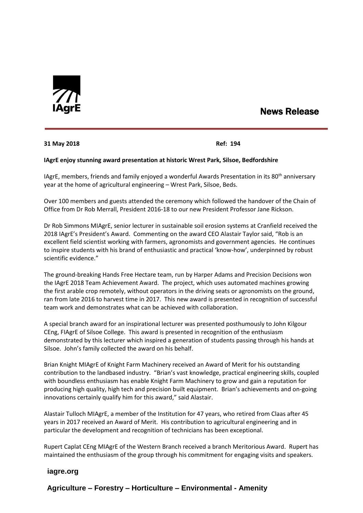

# News Release

## **31 May 2018 Ref: 194**

#### **IAgrE enjoy stunning award presentation at historic Wrest Park, Silsoe, Bedfordshire**

IAgrE, members, friends and family enjoyed a wonderful Awards Presentation in its 80<sup>th</sup> anniversary year at the home of agricultural engineering – Wrest Park, Silsoe, Beds.

Over 100 members and guests attended the ceremony which followed the handover of the Chain of Office from Dr Rob Merrall, President 2016-18 to our new President Professor Jane Rickson.

Dr Rob Simmons MIAgrE, senior lecturer in sustainable soil erosion systems at Cranfield received the 2018 IAgrE's President's Award. Commenting on the award CEO Alastair Taylor said, "Rob is an excellent field scientist working with farmers, agronomists and government agencies. He continues to inspire students with his brand of enthusiastic and practical 'know-how', underpinned by robust scientific evidence."

The ground-breaking Hands Free Hectare team, run by Harper Adams and Precision Decisions won the IAgrE 2018 Team Achievement Award. The project, which uses automated machines growing the first arable crop remotely, without operators in the driving seats or agronomists on the ground, ran from late 2016 to harvest time in 2017. This new award is presented in recognition of successful team work and demonstrates what can be achieved with collaboration.

A special branch award for an inspirational lecturer was presented posthumously to John Kilgour CEng, FIAgrE of Silsoe College. This award is presented in recognition of the enthusiasm demonstrated by this lecturer which inspired a generation of students passing through his hands at Silsoe. John's family collected the award on his behalf.

Brian Knight MIAgrE of Knight Farm Machinery received an Award of Merit for his outstanding contribution to the landbased industry. "Brian's vast knowledge, practical engineering skills, coupled with boundless enthusiasm has enable Knight Farm Machinery to grow and gain a reputation for producing high quality, high tech and precision built equipment. Brian's achievements and on-going innovations certainly qualify him for this award," said Alastair.

Alastair Tulloch MIAgrE, a member of the Institution for 47 years, who retired from Claas after 45 years in 2017 received an Award of Merit. His contribution to agricultural engineering and in particular the development and recognition of technicians has been exceptional.

Rupert Caplat CEng MIAgrE of the Western Branch received a branch Meritorious Award. Rupert has maintained the enthusiasm of the group through his commitment for engaging visits and speakers.

## **iagre.org**

**Agriculture – Forestry – Horticulture – Environmental - Amenity**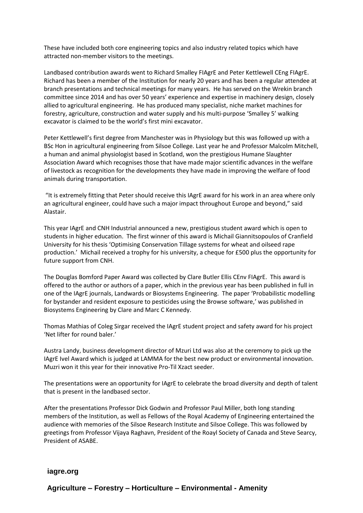These have included both core engineering topics and also industry related topics which have attracted non-member visitors to the meetings.

Landbased contribution awards went to Richard Smalley FIAgrE and Peter Kettlewell CEng FIAgrE. Richard has been a member of the Institution for nearly 20 years and has been a regular attendee at branch presentations and technical meetings for many years. He has served on the Wrekin branch committee since 2014 and has over 50 years' experience and expertise in machinery design, closely allied to agricultural engineering. He has produced many specialist, niche market machines for forestry, agriculture, construction and water supply and his multi-purpose 'Smalley 5' walking excavator is claimed to be the world's first mini excavator.

Peter Kettlewell's first degree from Manchester was in Physiology but this was followed up with a BSc Hon in agricultural engineering from Silsoe College. Last year he and Professor Malcolm Mitchell, a human and animal physiologist based in Scotland, won the prestigious Humane Slaughter Association Award which recognises those that have made major scientific advances in the welfare of livestock as recognition for the developments they have made in improving the welfare of food animals during transportation.

"It is extremely fitting that Peter should receive this IAgrE award for his work in an area where only an agricultural engineer, could have such a major impact throughout Europe and beyond," said Alastair.

This year IAgrE and CNH Industrial announced a new, prestigious student award which is open to students in higher education. The first winner of this award is Michail Giannitsopoulos of Cranfield University for his thesis 'Optimising Conservation Tillage systems for wheat and oilseed rape production.' Michail received a trophy for his university, a cheque for £500 plus the opportunity for future support from CNH.

The Douglas Bomford Paper Award was collected by Clare Butler Ellis CEnv FIAgrE. This award is offered to the author or authors of a paper, which in the previous year has been published in full in one of the IAgrE journals, Landwards or Biosystems Engineering. The paper 'Probabilistic modelling for bystander and resident exposure to pesticides using the Browse software,' was published in Biosystems Engineering by Clare and Marc C Kennedy.

Thomas Mathias of Coleg Sirgar received the IAgrE student project and safety award for his project 'Net lifter for round baler.'

Austra Landy, business development director of Mzuri Ltd was also at the ceremony to pick up the IAgrE Ivel Award which is judged at LAMMA for the best new product or environmental innovation. Muzri won it this year for their innovative Pro-Til Xzact seeder.

The presentations were an opportunity for IAgrE to celebrate the broad diversity and depth of talent that is present in the landbased sector.

After the presentations Professor Dick Godwin and Professor Paul Miller, both long standing members of the Institution, as well as Fellows of the Royal Academy of Engineering entertained the audience with memories of the Silsoe Research Institute and Silsoe College. This was followed by greetings from Professor Vijaya Raghavn, President of the Roayl Society of Canada and Steve Searcy, President of ASABE.

## **iagre.org**

**Agriculture – Forestry – Horticulture – Environmental - Amenity**